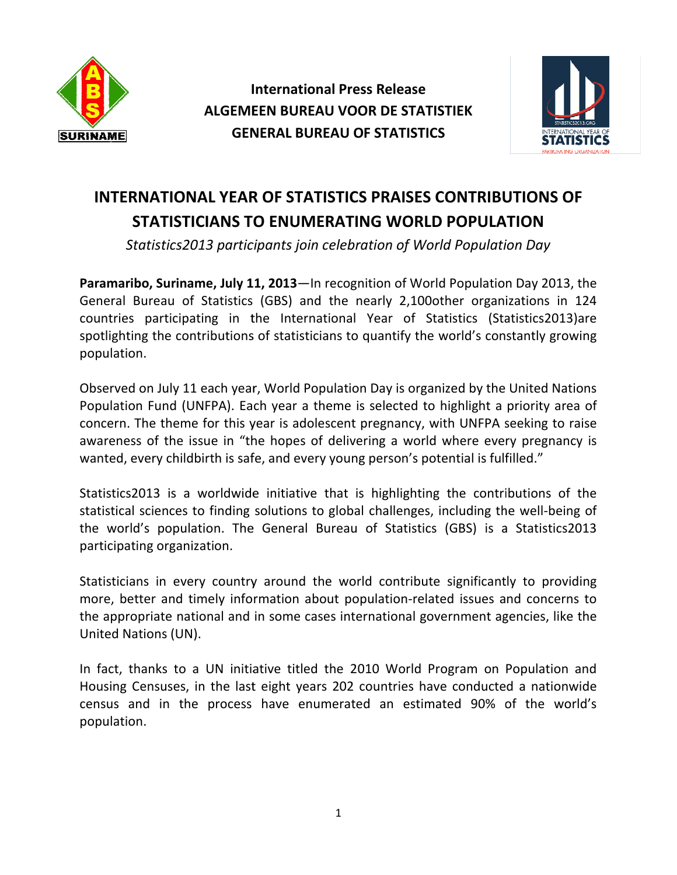

**International International Press Release ALGEMEE ALGEMEEN BUREAU VOOR DE STATISTIEK GENERAL BUREAU OF STATISTICS OF STATISTICS**



## **INTERNATIONAL YEAR OF STATISTICS PRAISES CONTRIBUTION STATISTICIANS TO ENUMERATING WORLD POPULATION**

Statistics2013 participants join celebration of World Population Day

Paramaribo, Suriname, July 11, 2013-In recognition of World Population Day 2013, the General Bureau of Statistics (GBS) and the nearly 2,100other organizations in 124 countries participating in the International Year of Statistics (Statistics2013)are spotlighting the contributions of statisticians to quant countries participating in the International Year of Statistics (Statisti spotlighting the contributions of statisticians to quantify the world's constantly growing population. In recognition of World Population Day 2013, the<br>nd the nearly 2,100other organizations in 124<br>national Year of Statistics (Statistics2013)are

Observed on July 11 each year, World Population Day is organized by the United Nations Population Fund (UNFPA). Each year a theme is selected to highlight a priority area of concern. The theme for this year is adolescent pregnancy, with UNFPA seeking to raise awareness of the issue in "the hopes of delivering a world where every pregnancy is wanted, every childbirth is safe, and every young person's potential is fulfilled." **OF STATISTICS PRAISES CONTRIBUTIONS OF**<br> **DENUMERATING WORLD POPULATION**<br>
points join celebration of World Population Day<br> **2013**—In recognition of World Population Day<br> **2013**—In recognition of World Population Day<br> **201** 

Statistics2013 is a worldwide initiative that is highlighting the contributions of the statistical sciences to finding solutions to global challenges, including the well-being of the world's population. The General Bureau of Statistics (GBS) is a Statistics2013 participating organization. (UNFPA). Each year a theme is selected to highlight a priority area of<br>me for this year is adolescent pregnancy, with UNFPA seeking to raise<br>issue in "the hopes of delivering a world where every pregnancy is<br>ildbirth is sa

Statisticians in every country around the world contribute significantly to providing more, better and timely information about population-related issues and concerns to the appropriate national and in some cases international government agencies, like the United Nations (UN). more, better and timely information about population-related issues and concerns to<br>the appropriate national and in some cases international government agencies, like the<br>United Nations (UN).<br>In fact, thanks to a UN initia

In fact, thanks to a UN initiative titled the 2010 World Program on Population and census and in the process have enumerated an estimated 90% of the world's population.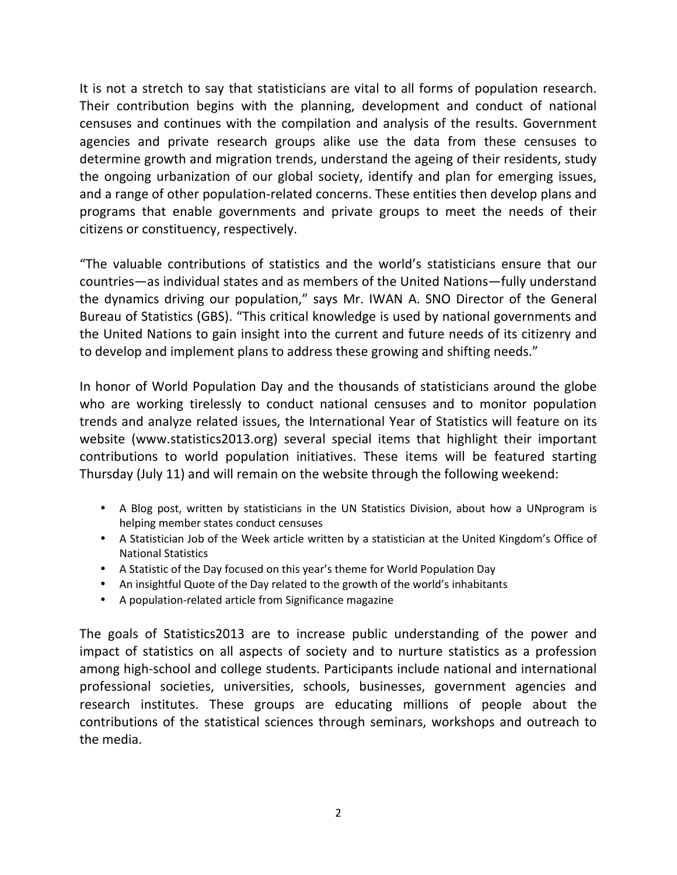It is not a stretch to say that statisticians are vital to all forms of population research. Their contribution begins with the planning, development and conduct of national censuses and continues with the compilation and analysis of the results. Government agencies and private research groups alike use the data from these censuses to determine growth and migration trends, understand the ageing of their residents, study the ongoing urbanization of our global society, identify and plan for emerging issues, and a range of other population-related concerns. These entities then develop plans and programs that enable governments and private groups to meet the needs of their citizens or constituency, respectively.

"The valuable contributions of statistics and the world's statisticians ensure that our countries—as individual states and as members of the United Nations—fully understand the dynamics driving our population," says Mr. IWAN A. SNO Director of the General Bureau of Statistics (GBS). "This critical knowledge is used by national governments and the United Nations to gain insight into the current and future needs of its citizenry and to develop and implement plans to address these growing and shifting needs."

In honor of World Population Day and the thousands of statisticians around the globe who are working tirelessly to conduct national censuses and to monitor population trends and analyze related issues, the International Year of Statistics will feature on its website (www.statistics2013.org) several special items that highlight their important contributions to world population initiatives. These items will be featured starting Thursday (July 11) and will remain on the website through the following weekend:

- A Blog post, written by statisticians in the UN Statistics Division, about how a UNprogram is helping member states conduct censuses
- A Statistician Job of the Week article written by a statistician at the United Kingdom's Office of National Statistics
- A Statistic of the Day focused on this year's theme for World Population Day
- An insightful Quote of the Day related to the growth of the world's inhabitants
- A population-related article from Significance magazine

The goals of Statistics2013 are to increase public understanding of the power and impact of statistics on all aspects of society and to nurture statistics as a profession among high-school and college students. Participants include national and international professional societies, universities, schools, businesses, government agencies and research institutes. These groups are educating millions of people about the contributions of the statistical sciences through seminars, workshops and outreach to the media.